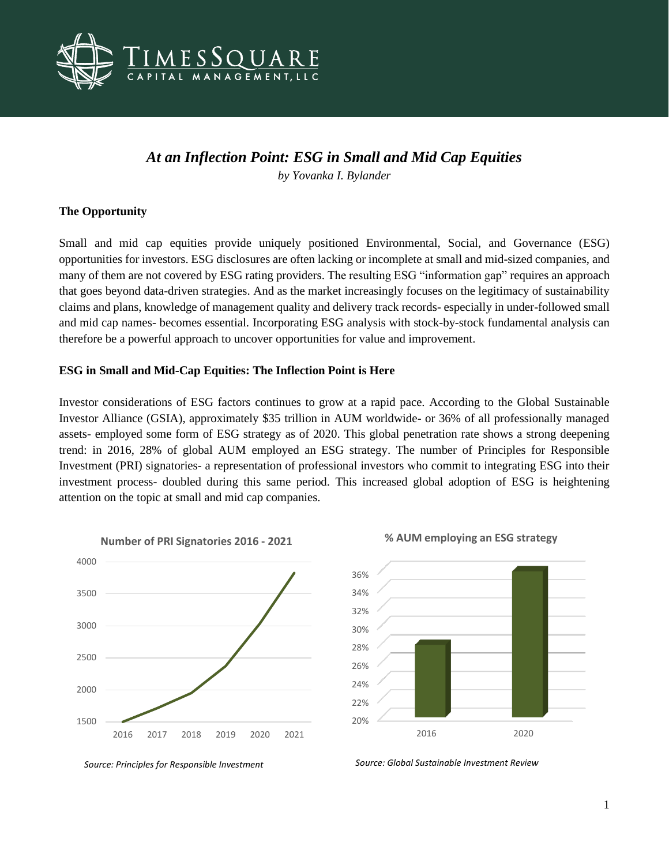

# *At an Inflection Point: ESG in Small and Mid Cap Equities*

*by Yovanka I. Bylander*

## **The Opportunity**

Small and mid cap equities provide uniquely positioned Environmental, Social, and Governance (ESG) opportunities for investors. ESG disclosures are often lacking or incomplete at small and mid-sized companies, and many of them are not covered by ESG rating providers. The resulting ESG "information gap" requires an approach that goes beyond data-driven strategies. And as the market increasingly focuses on the legitimacy of sustainability claims and plans, knowledge of management quality and delivery track records- especially in under-followed small and mid cap names- becomes essential. Incorporating ESG analysis with stock-by-stock fundamental analysis can therefore be a powerful approach to uncover opportunities for value and improvement.

### **ESG in Small and Mid-Cap Equities: The Inflection Point is Here**

Investor considerations of ESG factors continues to grow at a rapid pace. According to the Global Sustainable Investor Alliance (GSIA), approximately \$35 trillion in AUM worldwide- or 36% of all professionally managed assets- employed some form of ESG strategy as of 2020. This global penetration rate shows a strong deepening trend: in 2016, 28% of global AUM employed an ESG strategy. The number of Principles for Responsible Investment (PRI) signatories- a representation of professional investors who commit to integrating ESG into their investment process- doubled during this same period. This increased global adoption of ESG is heightening attention on the topic at small and mid cap companies.









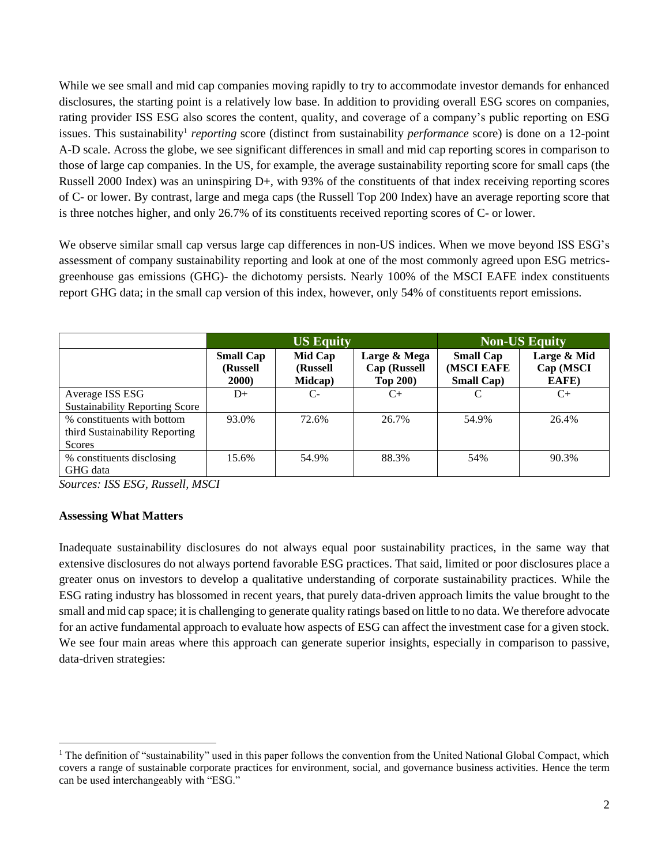While we see small and mid cap companies moving rapidly to try to accommodate investor demands for enhanced disclosures, the starting point is a relatively low base. In addition to providing overall ESG scores on companies, rating provider ISS ESG also scores the content, quality, and coverage of a company's public reporting on ESG issues. This sustainability<sup>1</sup> reporting score (distinct from sustainability *performance* score) is done on a 12-point A-D scale. Across the globe, we see significant differences in small and mid cap reporting scores in comparison to those of large cap companies. In the US, for example, the average sustainability reporting score for small caps (the Russell 2000 Index) was an uninspiring D+, with 93% of the constituents of that index receiving reporting scores of C- or lower. By contrast, large and mega caps (the Russell Top 200 Index) have an average reporting score that is three notches higher, and only 26.7% of its constituents received reporting scores of C- or lower.

We observe similar small cap versus large cap differences in non-US indices. When we move beyond ISS ESG's assessment of company sustainability reporting and look at one of the most commonly agreed upon ESG metricsgreenhouse gas emissions (GHG)- the dichotomy persists. Nearly 100% of the MSCI EAFE index constituents report GHG data; in the small cap version of this index, however, only 54% of constituents report emissions.

|                                       | <b>US Equity</b>                               |                                |                                                        | <b>Non-US Equity</b>                                 |                                   |
|---------------------------------------|------------------------------------------------|--------------------------------|--------------------------------------------------------|------------------------------------------------------|-----------------------------------|
|                                       | <b>Small Cap</b><br>(Russell)<br><b>2000</b> ) | Mid Cap<br>(Russell<br>Midcap) | Large & Mega<br><b>Cap (Russell</b><br><b>Top 200)</b> | <b>Small Cap</b><br>(MSCI EAFE<br><b>Small Cap</b> ) | Large & Mid<br>Cap (MSCI<br>EAFE) |
| Average ISS ESG                       | $D+$                                           | $C-$                           | C+                                                     |                                                      | $C+$                              |
| <b>Sustainability Reporting Score</b> |                                                |                                |                                                        |                                                      |                                   |
| % constituents with bottom            | 93.0%                                          | 72.6%                          | 26.7%                                                  | 54.9%                                                | 26.4%                             |
| third Sustainability Reporting        |                                                |                                |                                                        |                                                      |                                   |
| <b>Scores</b>                         |                                                |                                |                                                        |                                                      |                                   |
| % constituents disclosing<br>GHG data | 15.6%                                          | 54.9%                          | 88.3%                                                  | 54%                                                  | 90.3%                             |

*Sources: ISS ESG, Russell, MSCI*

#### **Assessing What Matters**

Inadequate sustainability disclosures do not always equal poor sustainability practices, in the same way that extensive disclosures do not always portend favorable ESG practices. That said, limited or poor disclosures place a greater onus on investors to develop a qualitative understanding of corporate sustainability practices. While the ESG rating industry has blossomed in recent years, that purely data-driven approach limits the value brought to the small and mid cap space; it is challenging to generate quality ratings based on little to no data. We therefore advocate for an active fundamental approach to evaluate how aspects of ESG can affect the investment case for a given stock. We see four main areas where this approach can generate superior insights, especially in comparison to passive, data-driven strategies:

<sup>&</sup>lt;sup>1</sup> The definition of "sustainability" used in this paper follows the convention from the United National Global Compact, which covers a range of sustainable corporate practices for environment, social, and governance business activities. Hence the term can be used interchangeably with "ESG."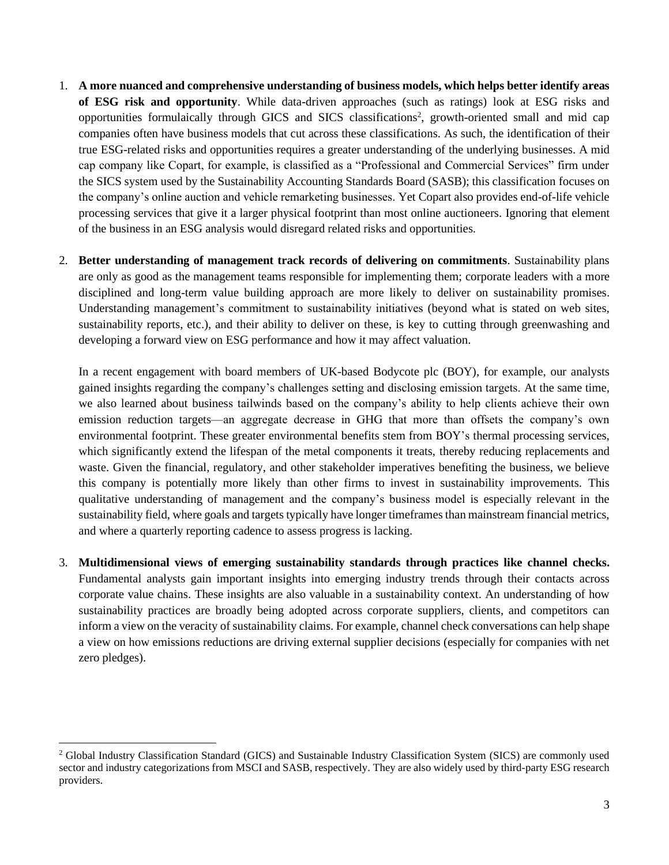- 1. **A more nuanced and comprehensive understanding of business models, which helps better identify areas of ESG risk and opportunity**. While data-driven approaches (such as ratings) look at ESG risks and opportunities formulaically through GICS and SICS classifications<sup>2</sup>, growth-oriented small and mid cap companies often have business models that cut across these classifications. As such, the identification of their true ESG-related risks and opportunities requires a greater understanding of the underlying businesses. A mid cap company like Copart, for example, is classified as a "Professional and Commercial Services" firm under the SICS system used by the Sustainability Accounting Standards Board (SASB); this classification focuses on the company's online auction and vehicle remarketing businesses. Yet Copart also provides end-of-life vehicle processing services that give it a larger physical footprint than most online auctioneers. Ignoring that element of the business in an ESG analysis would disregard related risks and opportunities.
- 2. **Better understanding of management track records of delivering on commitments**. Sustainability plans are only as good as the management teams responsible for implementing them; corporate leaders with a more disciplined and long-term value building approach are more likely to deliver on sustainability promises. Understanding management's commitment to sustainability initiatives (beyond what is stated on web sites, sustainability reports, etc.), and their ability to deliver on these, is key to cutting through greenwashing and developing a forward view on ESG performance and how it may affect valuation.

In a recent engagement with board members of UK-based Bodycote plc (BOY), for example, our analysts gained insights regarding the company's challenges setting and disclosing emission targets. At the same time, we also learned about business tailwinds based on the company's ability to help clients achieve their own emission reduction targets—an aggregate decrease in GHG that more than offsets the company's own environmental footprint. These greater environmental benefits stem from BOY's thermal processing services, which significantly extend the lifespan of the metal components it treats, thereby reducing replacements and waste. Given the financial, regulatory, and other stakeholder imperatives benefiting the business, we believe this company is potentially more likely than other firms to invest in sustainability improvements. This qualitative understanding of management and the company's business model is especially relevant in the sustainability field, where goals and targets typically have longer timeframes than mainstream financial metrics, and where a quarterly reporting cadence to assess progress is lacking.

3. **Multidimensional views of emerging sustainability standards through practices like channel checks.** Fundamental analysts gain important insights into emerging industry trends through their contacts across corporate value chains. These insights are also valuable in a sustainability context. An understanding of how sustainability practices are broadly being adopted across corporate suppliers, clients, and competitors can inform a view on the veracity of sustainability claims. For example, channel check conversations can help shape a view on how emissions reductions are driving external supplier decisions (especially for companies with net zero pledges).

<sup>&</sup>lt;sup>2</sup> Global Industry Classification Standard (GICS) and Sustainable Industry Classification System (SICS) are commonly used sector and industry categorizations from MSCI and SASB, respectively. They are also widely used by third-party ESG research providers.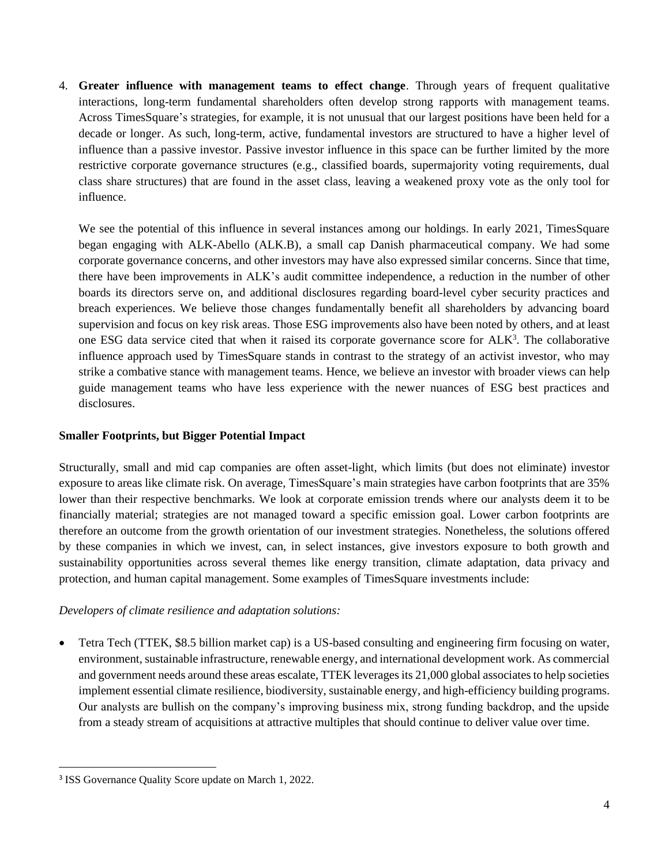4. **Greater influence with management teams to effect change**. Through years of frequent qualitative interactions, long-term fundamental shareholders often develop strong rapports with management teams. Across TimesSquare's strategies, for example, it is not unusual that our largest positions have been held for a decade or longer. As such, long-term, active, fundamental investors are structured to have a higher level of influence than a passive investor. Passive investor influence in this space can be further limited by the more restrictive corporate governance structures (e.g., classified boards, supermajority voting requirements, dual class share structures) that are found in the asset class, leaving a weakened proxy vote as the only tool for influence.

We see the potential of this influence in several instances among our holdings. In early 2021, TimesSquare began engaging with ALK-Abello (ALK.B), a small cap Danish pharmaceutical company. We had some corporate governance concerns, and other investors may have also expressed similar concerns. Since that time, there have been improvements in ALK's audit committee independence, a reduction in the number of other boards its directors serve on, and additional disclosures regarding board-level cyber security practices and breach experiences. We believe those changes fundamentally benefit all shareholders by advancing board supervision and focus on key risk areas. Those ESG improvements also have been noted by others, and at least one ESG data service cited that when it raised its corporate governance score for ALK<sup>3</sup>. The collaborative influence approach used by TimesSquare stands in contrast to the strategy of an activist investor, who may strike a combative stance with management teams. Hence, we believe an investor with broader views can help guide management teams who have less experience with the newer nuances of ESG best practices and disclosures.

# **Smaller Footprints, but Bigger Potential Impact**

Structurally, small and mid cap companies are often asset-light, which limits (but does not eliminate) investor exposure to areas like climate risk. On average, TimesSquare's main strategies have carbon footprints that are 35% lower than their respective benchmarks. We look at corporate emission trends where our analysts deem it to be financially material; strategies are not managed toward a specific emission goal. Lower carbon footprints are therefore an outcome from the growth orientation of our investment strategies. Nonetheless, the solutions offered by these companies in which we invest, can, in select instances, give investors exposure to both growth and sustainability opportunities across several themes like energy transition, climate adaptation, data privacy and protection, and human capital management. Some examples of TimesSquare investments include:

# *Developers of climate resilience and adaptation solutions:*

• Tetra Tech (TTEK, \$8.5 billion market cap) is a US-based consulting and engineering firm focusing on water, environment, sustainable infrastructure, renewable energy, and international development work. As commercial and government needs around these areas escalate, TTEK leverages its 21,000 global associates to help societies implement essential climate resilience, biodiversity, sustainable energy, and high-efficiency building programs. Our analysts are bullish on the company's improving business mix, strong funding backdrop, and the upside from a steady stream of acquisitions at attractive multiples that should continue to deliver value over time.

<sup>&</sup>lt;sup>3</sup> ISS Governance Quality Score update on March 1, 2022.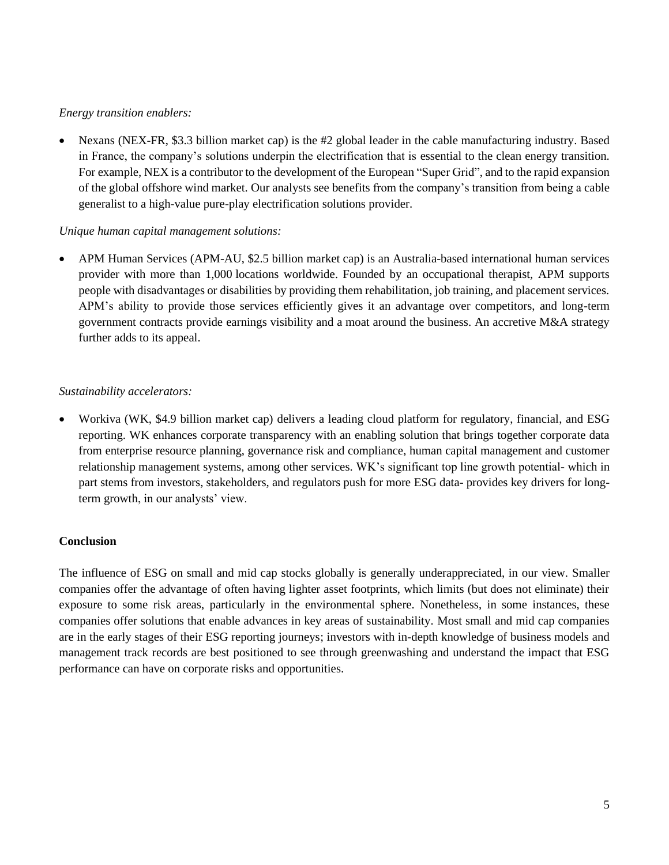### *Energy transition enablers:*

• Nexans (NEX-FR, \$3.3 billion market cap) is the #2 global leader in the cable manufacturing industry. Based in France, the company's solutions underpin the electrification that is essential to the clean energy transition. For example, NEX is a contributor to the development of the European "Super Grid", and to the rapid expansion of the global offshore wind market. Our analysts see benefits from the company's transition from being a cable generalist to a high-value pure-play electrification solutions provider.

### *Unique human capital management solutions:*

• APM Human Services (APM-AU, \$2.5 billion market cap) is an Australia-based international human services provider with more than 1,000 locations worldwide. Founded by an occupational therapist, APM supports people with disadvantages or disabilities by providing them rehabilitation, job training, and placement services. APM's ability to provide those services efficiently gives it an advantage over competitors, and long-term government contracts provide earnings visibility and a moat around the business. An accretive M&A strategy further adds to its appeal.

### *Sustainability accelerators:*

• Workiva (WK, \$4.9 billion market cap) delivers a leading cloud platform for regulatory, financial, and ESG reporting. WK enhances corporate transparency with an enabling solution that brings together corporate data from enterprise resource planning, governance risk and compliance, human capital management and customer relationship management systems, among other services. WK's significant top line growth potential- which in part stems from investors, stakeholders, and regulators push for more ESG data- provides key drivers for longterm growth, in our analysts' view.

# **Conclusion**

The influence of ESG on small and mid cap stocks globally is generally underappreciated, in our view. Smaller companies offer the advantage of often having lighter asset footprints, which limits (but does not eliminate) their exposure to some risk areas, particularly in the environmental sphere. Nonetheless, in some instances, these companies offer solutions that enable advances in key areas of sustainability. Most small and mid cap companies are in the early stages of their ESG reporting journeys; investors with in-depth knowledge of business models and management track records are best positioned to see through greenwashing and understand the impact that ESG performance can have on corporate risks and opportunities.